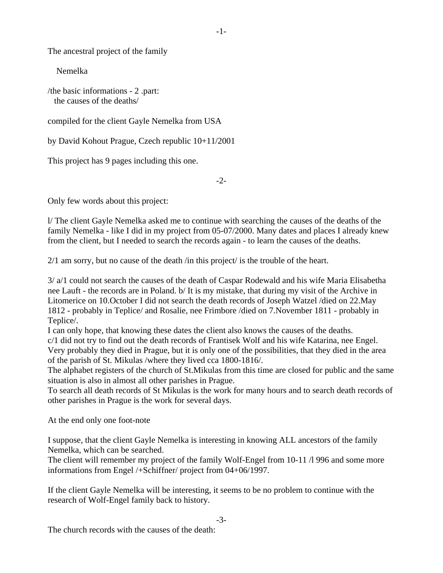The ancestral project of the family

Nemelka

/the basic informations - 2 .part: the causes of the deaths/

compiled for the client Gayle Nemelka from USA

by David Kohout Prague, Czech republic 10+11/2001

This project has 9 pages including this one.

 $-2$ 

Only few words about this project:

l/ The client Gayle Nemelka asked me to continue with searching the causes of the deaths of the family Nemelka - like I did in my project from 05-07/2000. Many dates and places I already knew from the client, but I needed to search the records again - to learn the causes of the deaths.

2/1 am sorry, but no cause of the death /in this project/ is the trouble of the heart.

3/ a/1 could not search the causes of the death of Caspar Rodewald and his wife Maria Elisabetha nee Lauft - the records are in Poland. b/ It is my mistake, that during my visit of the Archive in Litomerice on 10.October I did not search the death records of Joseph Watzel /died on 22.May 1812 - probably in Teplice/ and Rosalie, nee Frimbore /died on 7.November 1811 - probably in Teplice/.

I can only hope, that knowing these dates the client also knows the causes of the deaths.

c/1 did not try to find out the death records of Frantisek Wolf and his wife Katarina, nee Engel. Very probably they died in Prague, but it is only one of the possibilities, that they died in the area of the parish of St. Mikulas /where they lived cca 1800-1816/.

The alphabet registers of the church of St.Mikulas from this time are closed for public and the same situation is also in almost all other parishes in Prague.

To search all death records of St Mikulas is the work for many hours and to search death records of other parishes in Prague is the work for several days.

At the end only one foot-note

I suppose, that the client Gayle Nemelka is interesting in knowing ALL ancestors of the family Nemelka, which can be searched.

The client will remember my project of the family Wolf-Engel from 10-11  $\Lambda$  996 and some more informations from Engel /+Schiffner/ project from 04+06/1997.

If the client Gayle Nemelka will be interesting, it seems to be no problem to continue with the research of Wolf-Engel family back to history.

-3-

-1-

The church records with the causes of the death: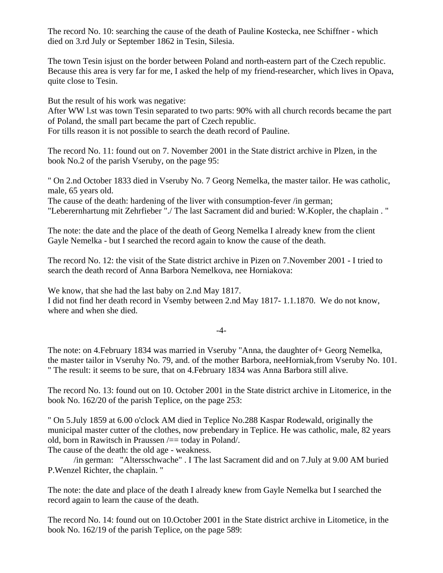The record No. 10: searching the cause of the death of Pauline Kostecka, nee Schiffner - which died on 3.rd July or September 1862 in Tesin, Silesia.

The town Tesin isjust on the border between Poland and north-eastern part of the Czech republic. Because this area is very far for me, I asked the help of my friend-researcher, which lives in Opava, quite close to Tesin.

But the result of his work was negative:

After WW l.st was town Tesin separated to two parts: 90% with all church records became the part of Poland, the small part became the part of Czech republic.

For tills reason it is not possible to search the death record of Pauline.

The record No. 11: found out on 7. November 2001 in the State district archive in Plzen, in the book No.2 of the parish Vseruby, on the page 95:

" On 2.nd October 1833 died in Vseruby No. 7 Georg Nemelka, the master tailor. He was catholic, male, 65 years old.

The cause of the death: hardening of the liver with consumption-fever /in german; "Leberernhartung mit Zehrfieber "./ The last Sacrament did and buried: W.Kopler, the chaplain . "

The note: the date and the place of the death of Georg Nemelka I already knew from the client Gayle Nemelka - but I searched the record again to know the cause of the death.

The record No. 12: the visit of the State district archive in Pizen on 7.November 2001 - I tried to search the death record of Anna Barbora Nemelkova, nee Horniakova:

We know, that she had the last baby on 2.nd May 1817. I did not find her death record in Vsemby between 2.nd May 1817- 1.1.1870. We do not know, where and when she died.

-4-

The note: on 4.February 1834 was married in Vseruby "Anna, the daughter of+ Georg Nemelka, the master tailor in Vseruhy No. 79, and. of the mother Barbora, neeHorniak,from Vseruby No. 101. " The result: it seems to be sure, that on 4.February 1834 was Anna Barbora still alive.

The record No. 13: found out on 10. October 2001 in the State district archive in Litomerice, in the book No. 162/20 of the parish Teplice, on the page 253:

" On 5.July 1859 at 6.00 o'clock AM died in Teplice No.288 Kaspar Rodewald, originally the municipal master cutter of the clothes, now prebendary in Teplice. He was catholic, male, 82 years old, born in Rawitsch in Praussen  $\prime =$  today in Poland/.

The cause of the death: the old age - weakness.

 /in german: "Altersschwache" . I The last Sacrament did and on 7.July at 9.00 AM buried P.Wenzel Richter, the chaplain. "

The note: the date and place of the death I already knew from Gayle Nemelka but I searched the record again to learn the cause of the death.

The record No. 14: found out on 10.October 2001 in the State district archive in Litometice, in the book No. 162/19 of the parish Teplice, on the page 589: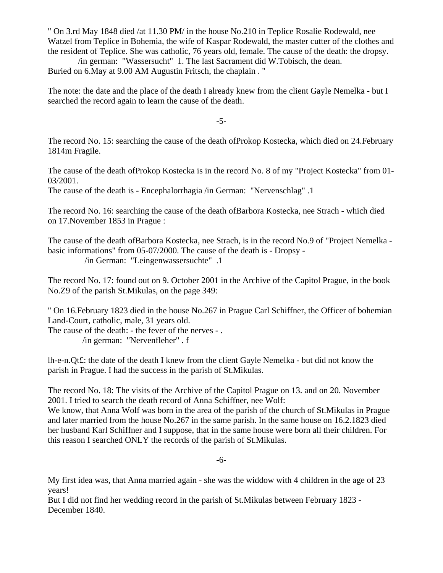" On 3.rd May 1848 died /at 11.30 PM/ in the house No.210 in Teplice Rosalie Rodewald, nee Watzel from Teplice in Bohemia, the wife of Kaspar Rodewald, the master cutter of the clothes and the resident of Teplice. She was catholic, 76 years old, female. The cause of the death: the dropsy.

 /in german: "Wassersucht" 1. The last Sacrament did W.Tobisch, the dean. Buried on 6.May at 9.00 AM Augustin Fritsch, the chaplain . "

The note: the date and the place of the death I already knew from the client Gayle Nemelka - but I searched the record again to learn the cause of the death.

-5-

The record No. 15: searching the cause of the death ofProkop Kostecka, which died on 24.February 1814m Fragile.

The cause of the death ofProkop Kostecka is in the record No. 8 of my "Project Kostecka" from 01- 03/2001.

The cause of the death is - Encephalorrhagia /in German: "Nervenschlag" .1

The record No. 16: searching the cause of the death ofBarbora Kostecka, nee Strach - which died on 17.November 1853 in Prague :

The cause of the death ofBarbora Kostecka, nee Strach, is in the record No.9 of "Project Nemelka basic informations" from 05-07/2000. The cause of the death is - Dropsy - /in German: "Leingenwassersuchte" .1

The record No. 17: found out on 9. October 2001 in the Archive of the Capitol Prague, in the book No.Z9 of the parish St.Mikulas, on the page 349:

" On 16.February 1823 died in the house No.267 in Prague Carl Schiffner, the Officer of bohemian Land-Court, catholic, male, 31 years old.

The cause of the death: - the fever of the nerves - . /in german: "Nervenfleher" . f

lh-e-n.Qt£: the date of the death I knew from the client Gayle Nemelka - but did not know the parish in Prague. I had the success in the parish of St.Mikulas.

The record No. 18: The visits of the Archive of the Capitol Prague on 13. and on 20. November 2001. I tried to search the death record of Anna Schiffner, nee Wolf:

We know, that Anna Wolf was born in the area of the parish of the church of St.Mikulas in Prague and later married from the house No.267 in the same parish. In the same house on 16.2.1823 died her husband Karl Schiffner and I suppose, that in the same house were born all their children. For this reason I searched ONLY the records of the parish of St.Mikulas.

-6-

My first idea was, that Anna married again - she was the widdow with 4 children in the age of 23 years!

But I did not find her wedding record in the parish of St.Mikulas between February 1823 - December 1840.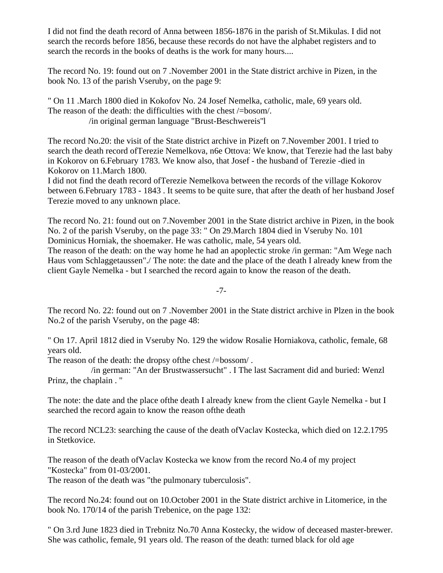I did not find the death record of Anna between 1856-1876 in the parish of St.Mikulas. I did not search the records before 1856, because these records do not have the alphabet registers and to search the records in the books of deaths is the work for many hours....

The record No. 19: found out on 7 .November 2001 in the State district archive in Pizen, in the book No. 13 of the parish Vseruby, on the page 9:

" On 11 .March 1800 died in Kokofov No. 24 Josef Nemelka, catholic, male, 69 years old. The reason of the death: the difficulties with the chest /=bosom/. /in original german language "Brust-Beschwereis''l

The record No.20: the visit of the State district archive in Pizeft on 7.November 2001. I tried to search the death record ofTerezie Nemelkova, n6e Ottova: We know, that Terezie had the last baby in Kokorov on 6.February 1783. We know also, that Josef - the husband of Terezie -died in Kokorov on 11.March 1800.

I did not find the death record ofTerezie Nemelkova between the records of the village Kokorov between 6.February 1783 - 1843 . It seems to be quite sure, that after the death of her husband Josef Terezie moved to any unknown place.

The record No. 21: found out on 7.November 2001 in the State district archive in Pizen, in the book No. 2 of the parish Vseruby, on the page 33: " On 29.March 1804 died in Vseruby No. 101 Dominicus Horniak, the shoemaker. He was catholic, male, 54 years old.

The reason of the death: on the way home he had an apoplectic stroke /in german: "Am Wege nach Haus vom Schlaggetaussen"./ The note: the date and the place of the death I already knew from the client Gayle Nemelka - but I searched the record again to know the reason of the death.

-7-

The record No. 22: found out on 7 .November 2001 in the State district archive in Plzen in the book No.2 of the parish Vseruby, on the page 48:

" On 17. April 1812 died in Vseruby No. 129 the widow Rosalie Horniakova, catholic, female, 68 years old.

The reason of the death: the dropsy of the chest  $\ell$ =bossom $\ell$ .

 /in german: "An der Brustwassersucht" . I The last Sacrament did and buried: Wenzl Prinz, the chaplain . "

The note: the date and the place ofthe death I already knew from the client Gayle Nemelka - but I searched the record again to know the reason ofthe death

The record NCL23: searching the cause of the death ofVaclav Kostecka, which died on 12.2.1795 in Stetkovice.

The reason of the death ofVaclav Kostecka we know from the record No.4 of my project "Kostecka" from 01-03/2001.

The reason of the death was "the pulmonary tuberculosis".

The record No.24: found out on 10.October 2001 in the State district archive in Litomerice, in the book No. 170/14 of the parish Trebenice, on the page 132:

" On 3.rd June 1823 died in Trebnitz No.70 Anna Kostecky, the widow of deceased master-brewer. She was catholic, female, 91 years old. The reason of the death: turned black for old age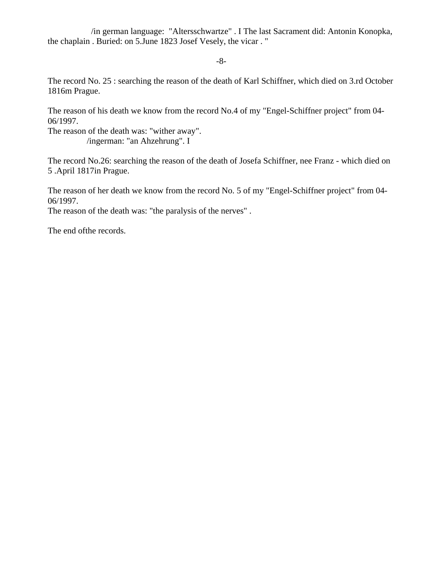/in german language: "Altersschwartze" . I The last Sacrament did: Antonin Konopka, the chaplain . Buried: on 5.June 1823 Josef Vesely, the vicar . "

-8-

The record No. 25 : searching the reason of the death of Karl Schiffner, which died on 3.rd October 1816m Prague.

The reason of his death we know from the record No.4 of my "Engel-Schiffner project" from 04- 06/1997.

The reason of the death was: "wither away". /ingerman: "an Ahzehrung". I

The record No.26: searching the reason of the death of Josefa Schiffner, nee Franz - which died on 5 .April 1817in Prague.

The reason of her death we know from the record No. 5 of my "Engel-Schiffner project" from 04- 06/1997.

The reason of the death was: "the paralysis of the nerves" .

The end ofthe records.